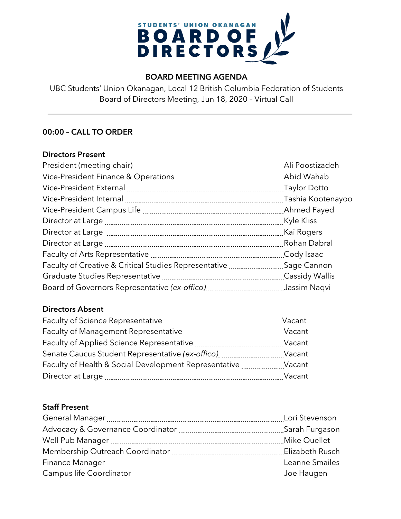

# **BOARD MEETING AGENDA**

UBC Students' Union Okanagan, Local 12 British Columbia Federation of Students Board of Directors Meeting, Jun 18, 2020 – Virtual Call

# **00:00 – CALL TO ORDER**

### **Directors Present**

|                                                       | Ali Poostizadeh |
|-------------------------------------------------------|-----------------|
|                                                       |                 |
|                                                       |                 |
|                                                       |                 |
|                                                       |                 |
|                                                       |                 |
|                                                       |                 |
|                                                       | Rohan Dabral    |
|                                                       | Cody Isaac      |
| Faculty of Creative & Critical Studies Representative | Sage Cannon     |
|                                                       |                 |
|                                                       | Jassim Naqvi    |

# **Directors Absent**

| Faculty of Science Representative                     | Vacant |
|-------------------------------------------------------|--------|
| Faculty of Management Representative                  | Vacant |
| Faculty of Applied Science Representative             | Vacant |
| Senate Caucus Student Representative (ex-offico)      | Vacant |
| Faculty of Health & Social Development Representative | Vacant |
| Director at Large                                     | Vacant |

# **Staff Present**

| Lori Stevenson |
|----------------|
| Sarah Furgason |
| Mike Ouellet   |
|                |
| Leanne Smailes |
| Joe Haugen     |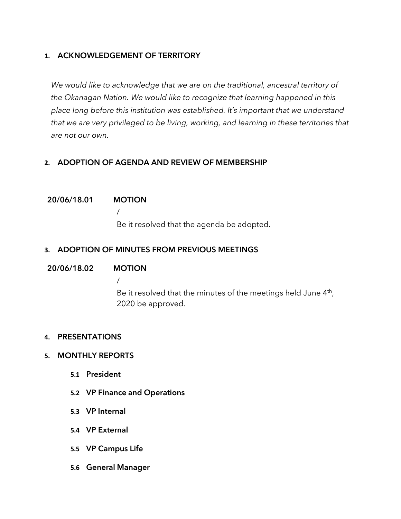# **1. ACKNOWLEDGEMENT OF TERRITORY**

*We would like to acknowledge that we are on the traditional, ancestral territory of the Okanagan Nation. We would like to recognize that learning happened in this place long before this institution was established. It's important that we understand that we are very privileged to be living, working, and learning in these territories that are not our own.*

# **2. ADOPTION OF AGENDA AND REVIEW OF MEMBERSHIP**

### **20/06/18.01 MOTION**

/ Be it resolved that the agenda be adopted.

# **3. ADOPTION OF MINUTES FROM PREVIOUS MEETINGS**

### **20/06/18.02 MOTION**

/ Be it resolved that the minutes of the meetings held June 4<sup>th</sup>, 2020 be approved.

### **4. PRESENTATIONS**

### **5. MONTHLY REPORTS**

- **5.1 President**
- **5.2 VP Finance and Operations**
- **5.3 VP Internal**
- **5.4 VP External**
- **5.5 VP Campus Life**
- **5.6 General Manager**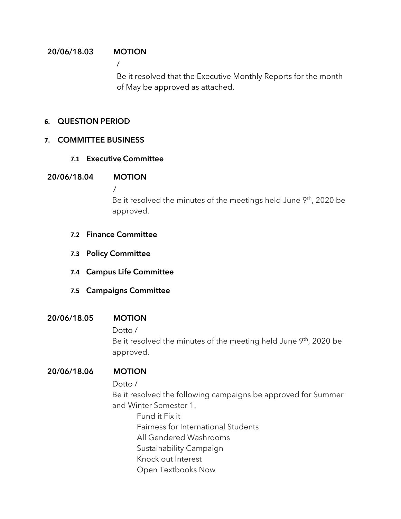## **20/06/18.03 MOTION**

/

Be it resolved that the Executive Monthly Reports for the month of May be approved as attached.

### **6. QUESTION PERIOD**

### **7. COMMITTEE BUSINESS**

### **7.1 Executive Committee**

### **20/06/18.04 MOTION**

/

Be it resolved the minutes of the meetings held June 9<sup>th</sup>, 2020 be approved.

- **7.2 Finance Committee**
- **7.3 Policy Committee**
- **7.4 Campus Life Committee**
- **7.5 Campaigns Committee**

# **20/06/18.05 MOTION**

Dotto /

Be it resolved the minutes of the meeting held June 9<sup>th</sup>, 2020 be approved.

# **20/06/18.06 MOTION**

Dotto /

Be it resolved the following campaigns be approved for Summer and Winter Semester 1.

Fund it Fix it Fairness for International Students All Gendered Washrooms Sustainability Campaign Knock out Interest Open Textbooks Now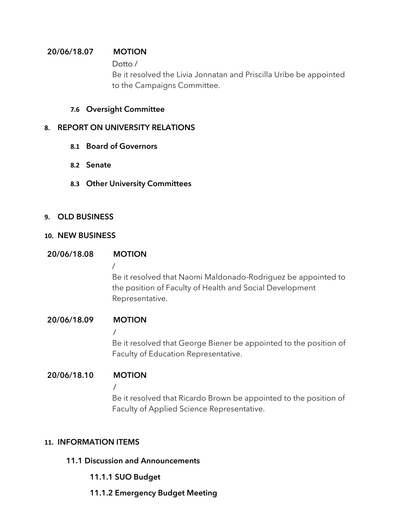# **20/06/18.07 MOTION**

### Dotto /

Be it resolved the Livia Jonnatan and Priscilla Uribe be appointed to the Campaigns Committee.

## **7.6 Oversight Committee**

### **8. REPORT ON UNIVERSITY RELATIONS**

- **8.1 Board of Governors**
- **8.2 Senate**
- **8.3 Other University Committees**

# **9. OLD BUSINESS**

### **10. NEW BUSINESS**

### **20/06/18.08 MOTION**

# /

Be it resolved that Naomi Maldonado-Rodriguez be appointed to the position of Faculty of Health and Social Development Representative.

# **20/06/18.09 MOTION**

/

Be it resolved that George Biener be appointed to the position of Faculty of Education Representative.

# **20/06/18.10 MOTION**

/

Be it resolved that Ricardo Brown be appointed to the position of Faculty of Applied Science Representative.

# **11. INFORMATION ITEMS**

# **11.1 Discussion and Announcements**

# **11.1.1 SUO Budget**

# **11.1.2 Emergency Budget Meeting**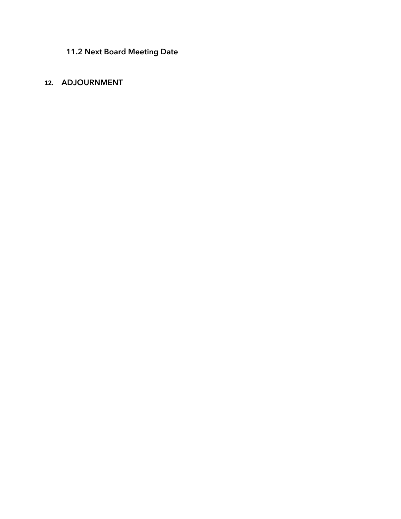**11.2 Next Board Meeting Date**

# **12. ADJOURNMENT**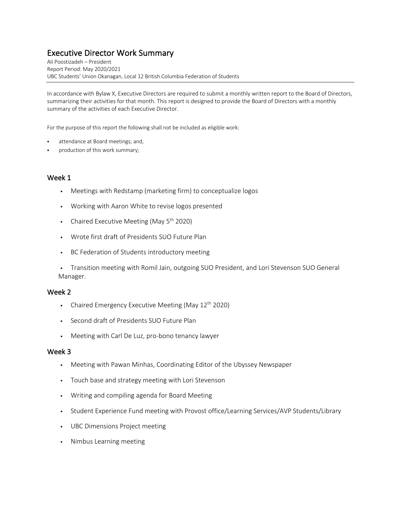# Executive Director Work Summary Ali Poostizadeh – President

Report Period: May 2020/2021 UBC Students' Union Okanagan, Local 12 British Columbia Federation of Students

In accordance with Bylaw X, Executive Directors are required to submit a monthly written report to the Board of Directors, summarizing their activities for that month. This report is designed to provide the Board of Directors with a monthly summary of the activities of each Executive Director.

For the purpose of this report the following shall not be included as eligible work:

- attendance at Board meetings; and,
- production of this work summary;

### Week 1

- § Meetings with Redstamp (marketing firm) to conceptualize logos
- § Working with Aaron White to revise logos presented
- Chaired Executive Meeting (May  $5<sup>th</sup>$  2020)
- § Wrote first draft of Presidents SUO Future Plan
- § BC Federation of Students introductory meeting

• Transition meeting with Romil Jain, outgoing SUO President, and Lori Stevenson SUO General Manager.

#### Week 2

- Chaired Emergency Executive Meeting (May  $12<sup>th</sup>$  2020)
- § Second draft of Presidents SUO Future Plan
- Meeting with Carl De Luz, pro-bono tenancy lawyer

- § Meeting with Pawan Minhas, Coordinating Editor of the Ubyssey Newspaper
- Touch base and strategy meeting with Lori Stevenson
- § Writing and compiling agenda for Board Meeting
- Student Experience Fund meeting with Provost office/Learning Services/AVP Students/Library
- § UBC Dimensions Project meeting
- § Nimbus Learning meeting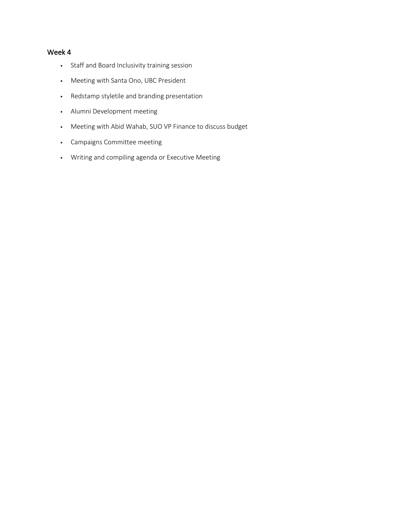- § Staff and Board Inclusivity training session
- § Meeting with Santa Ono, UBC President
- § Redstamp styletile and branding presentation
- § Alumni Development meeting
- § Meeting with Abid Wahab, SUO VP Finance to discuss budget
- § Campaigns Committee meeting
- § Writing and compiling agenda or Executive Meeting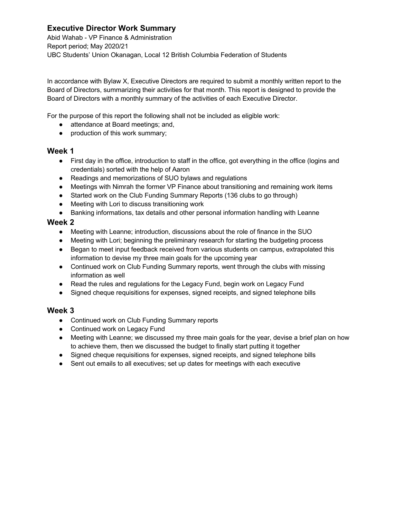# **Executive Director Work Summary**

Abid Wahab - VP Finance & Administration Report period; May 2020/21 UBC Students' Union Okanagan, Local 12 British Columbia Federation of Students

In accordance with Bylaw X, Executive Directors are required to submit a monthly written report to the Board of Directors, summarizing their activities for that month. This report is designed to provide the Board of Directors with a monthly summary of the activities of each Executive Director.

For the purpose of this report the following shall not be included as eligible work:

- attendance at Board meetings; and,
- production of this work summary;

### **Week 1**

- First day in the office, introduction to staff in the office, got everything in the office (logins and credentials) sorted with the help of Aaron
- Readings and memorizations of SUO bylaws and regulations
- Meetings with Nimrah the former VP Finance about transitioning and remaining work items
- Started work on the Club Funding Summary Reports (136 clubs to go through)
- Meeting with Lori to discuss transitioning work
- Banking informations, tax details and other personal information handling with Leanne

### **Week 2**

- Meeting with Leanne; introduction, discussions about the role of finance in the SUO
- Meeting with Lori; beginning the preliminary research for starting the budgeting process
- Began to meet input feedback received from various students on campus, extrapolated this information to devise my three main goals for the upcoming year
- Continued work on Club Funding Summary reports, went through the clubs with missing information as well
- Read the rules and regulations for the Legacy Fund, begin work on Legacy Fund
- Signed cheque requisitions for expenses, signed receipts, and signed telephone bills

- Continued work on Club Funding Summary reports
- Continued work on Legacy Fund
- Meeting with Leanne; we discussed my three main goals for the year, devise a brief plan on how to achieve them, then we discussed the budget to finally start putting it together
- Signed cheque requisitions for expenses, signed receipts, and signed telephone bills
- Sent out emails to all executives; set up dates for meetings with each executive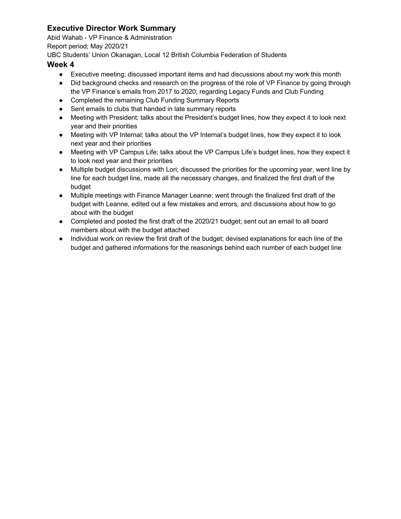# **Executive Director Work Summary**

Abid Wahab - VP Finance & Administration

Report period; May 2020/21

UBC Students' Union Okanagan, Local 12 British Columbia Federation of Students

- Executive meeting; discussed important items and had discussions about my work this month
- Did background checks and research on the progress of the role of VP Finance by going through the VP Finance's emails from 2017 to 2020; regarding Legacy Funds and Club Funding
- Completed the remaining Club Funding Summary Reports
- Sent emails to clubs that handed in late summary reports
- Meeting with President; talks about the President's budget lines, how they expect it to look next year and their priorities
- Meeting with VP Internal; talks about the VP Internal's budget lines, how they expect it to look next year and their priorities
- Meeting with VP Campus Life; talks about the VP Campus Life's budget lines, how they expect it to look next year and their priorities
- Multiple budget discussions with Lori; discussed the priorities for the upcoming year, went line by line for each budget line, made all the necessary changes, and finalized the first draft of the budget
- Multiple meetings with Finance Manager Leanne; went through the finalized first draft of the budget with Leanne, edited out a few mistakes and errors, and discussions about how to go about with the budget
- Completed and posted the first draft of the 2020/21 budget; sent out an email to all board members about with the budget attached
- Individual work on review the first draft of the budget; devised explanations for each line of the budget and gathered informations for the reasonings behind each number of each budget line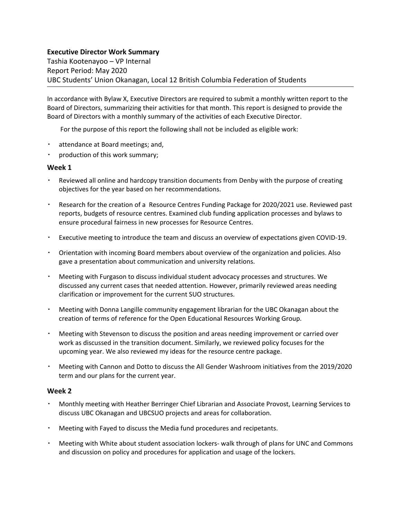### **Executive Director Work Summary**

Tashia Kootenayoo – VP Internal Report Period: May 2020 UBC Students' Union Okanagan, Local 12 British Columbia Federation of Students

In accordance with Bylaw X, Executive Directors are required to submit a monthly written report to the Board of Directors, summarizing their activities for that month. This report is designed to provide the Board of Directors with a monthly summary of the activities of each Executive Director.

For the purpose of this report the following shall not be included as eligible work:

- attendance at Board meetings; and,
- production of this work summary;

### **Week 1**

- Reviewed all online and hardcopy transition documents from Denby with the purpose of creating objectives for the year based on her recommendations.
- Research for the creation of a Resource Centres Funding Package for 2020/2021 use. Reviewed past reports, budgets of resource centres. Examined club funding application processes and bylaws to ensure procedural fairness in new processes for Resource Centres.
- Executive meeting to introduce the team and discuss an overview of expectations given COVID-19.
- Orientation with incoming Board members about overview of the organization and policies. Also gave a presentation about communication and university relations.
- Meeting with Furgason to discuss individual student advocacy processes and structures. We discussed any current cases that needed attention. However, primarily reviewed areas needing clarification or improvement for the current SUO structures.
- Meeting with Donna Langille community engagement librarian for the UBC Okanagan about the creation of terms of reference for the Open Educational Resources Working Group.
- Meeting with Stevenson to discuss the position and areas needing improvement or carried over work as discussed in the transition document. Similarly, we reviewed policy focuses for the upcoming year. We also reviewed my ideas for the resource centre package.
- Meeting with Cannon and Dotto to discuss the All Gender Washroom initiatives from the 2019/2020 term and our plans for the current year.

- Monthly meeting with Heather Berringer Chief Librarian and Associate Provost, Learning Services to discuss UBC Okanagan and UBCSUO projects and areas for collaboration.
- Meeting with Fayed to discuss the Media fund procedures and recipetants.
- Meeting with White about student association lockers- walk through of plans for UNC and Commons and discussion on policy and procedures for application and usage of the lockers.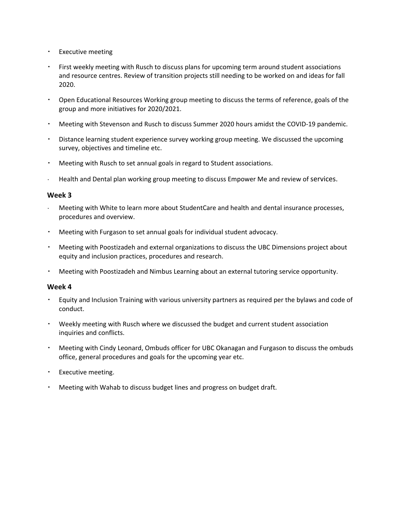- Executive meeting
- First weekly meeting with Rusch to discuss plans for upcoming term around student associations and resource centres. Review of transition projects still needing to be worked on and ideas for fall 2020.
- Open Educational Resources Working group meeting to discuss the terms of reference, goals of the group and more initiatives for 2020/2021.
- Meeting with Stevenson and Rusch to discuss Summer 2020 hours amidst the COVID-19 pandemic.
- Distance learning student experience survey working group meeting. We discussed the upcoming survey, objectives and timeline etc.
- Meeting with Rusch to set annual goals in regard to Student associations.
- Health and Dental plan working group meeting to discuss Empower Me and review of services.

### **Week 3**

- Meeting with White to learn more about StudentCare and health and dental insurance processes, procedures and overview.
- Meeting with Furgason to set annual goals for individual student advocacy.
- Meeting with Poostizadeh and external organizations to discuss the UBC Dimensions project about equity and inclusion practices, procedures and research.
- Meeting with Poostizadeh and Nimbus Learning about an external tutoring service opportunity.

- Equity and Inclusion Training with various university partners as required per the bylaws and code of conduct.
- Weekly meeting with Rusch where we discussed the budget and current student association inquiries and conflicts.
- Meeting with Cindy Leonard, Ombuds officer for UBC Okanagan and Furgason to discuss the ombuds office, general procedures and goals for the upcoming year etc.
- Executive meeting.
- Meeting with Wahab to discuss budget lines and progress on budget draft.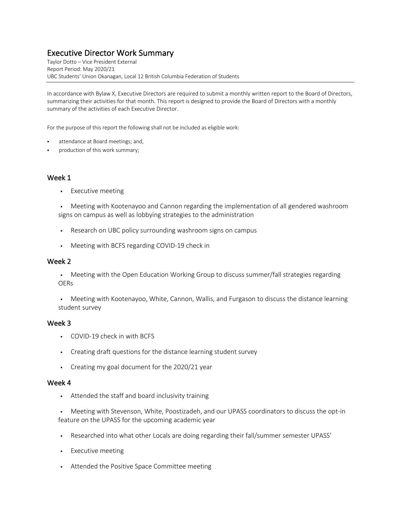# Executive Director Work Summary<br>Taylor Dotto – Vice President External

Report Period: May 2020/21 UBC Students' Union Okanagan, Local 12 British Columbia Federation of Students

In accordance with Bylaw X, Executive Directors are required to submit a monthly written report to the Board of Directors, summarizing their activities for that month. This report is designed to provide the Board of Directors with a monthly summary of the activities of each Executive Director.

For the purpose of this report the following shall not be included as eligible work:

- attendance at Board meetings; and,
- production of this work summary;

### Week 1

§ Executive meeting

§ Meeting with Kootenayoo and Cannon regarding the implementation of all gendered washroom signs on campus as well as lobbying strategies to the administration

- § Research on UBC policy surrounding washroom signs on campus
- § Meeting with BCFS regarding COVID-19 check in

#### Week 2

• Meeting with the Open Education Working Group to discuss summer/fall strategies regarding OERs

• Meeting with Kootenayoo, White, Cannon, Wallis, and Furgason to discuss the distance learning student survey

#### Week 3

- § COVID-19 check in with BCFS
- § Creating draft questions for the distance learning student survey
- § Creating my goal document for the 2020/21 year

#### Week 4

§ Attended the staff and board inclusivity training

• Meeting with Stevenson, White, Poostizadeh, and our UPASS coordinators to discuss the opt-in feature on the UPASS for the upcoming academic year

- § Researched into what other Locals are doing regarding their fall/summer semester UPASS'
- § Executive meeting
- § Attended the Positive Space Committee meeting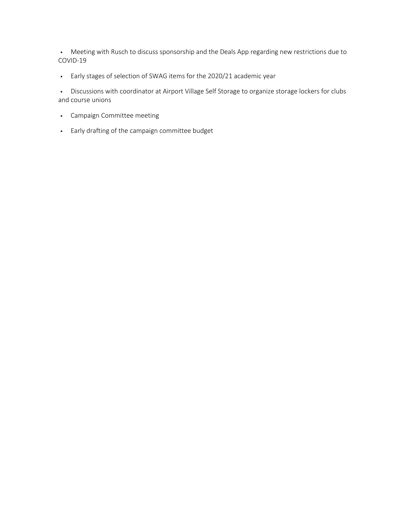• Meeting with Rusch to discuss sponsorship and the Deals App regarding new restrictions due to COVID-19

§ Early stages of selection of SWAG items for the 2020/21 academic year

• Discussions with coordinator at Airport Village Self Storage to organize storage lockers for clubs and course unions

- § Campaign Committee meeting
- § Early drafting of the campaign committee budget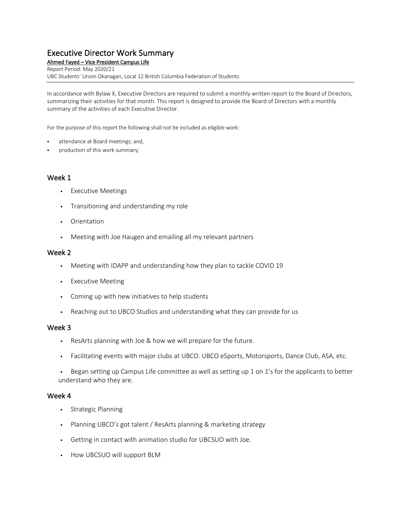# Executive Director Work Summary<br>Ahmed Fayed – Vice President Campus Life

Report Period: May 2020/21 UBC Students' Union Okanagan, Local 12 British Columbia Federation of Students

In accordance with Bylaw X, Executive Directors are required to submit a monthly written report to the Board of Directors, summarizing their activities for that month. This report is designed to provide the Board of Directors with a monthly summary of the activities of each Executive Director.

For the purpose of this report the following shall not be included as eligible work:

- attendance at Board meetings; and,
- production of this work summary;

### Week 1

- § Executive Meetings
- Transitioning and understanding my role
- Orientation
- § Meeting with Joe Haugen and emailing all my relevant partners

#### Week 2

- § Meeting with IDAPP and understanding how they plan to tackle COVID 19
- § Executive Meeting
- Coming up with new initiatives to help students
- Reaching out to UBCO Studios and understanding what they can provide for us

#### Week 3

- ResArts planning with Joe & how we will prepare for the future.
- § Facilitating events with major clubs at UBCO. UBCO eSports, Motorsports, Dance Club, ASA, etc.

• Began setting up Campus Life committee as well as setting up 1 on 1's for the applicants to better understand who they are.

- § Strategic Planning
- § Planning UBCO's got talent / ResArts planning & marketing strategy
- § Getting in contact with animation studio for UBCSUO with Joe.
- How UBCSUO will support BLM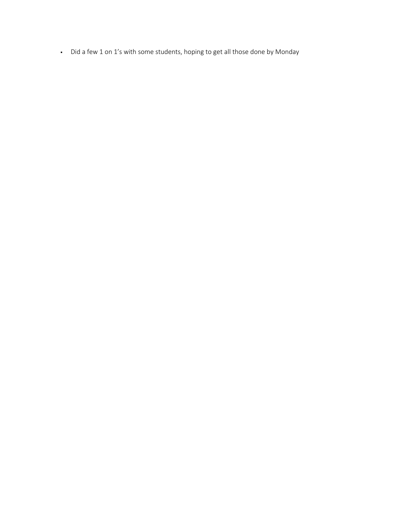§ Did a few 1 on 1's with some students, hoping to get all those done by Monday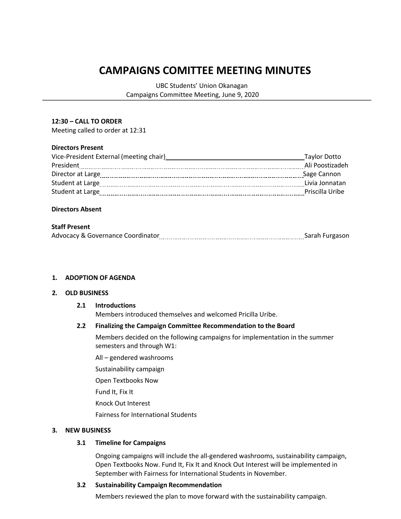# **CAMPAIGNS COMITTEE MEETING MINUTES**

UBC Students' Union Okanagan Campaigns Committee Meeting, June 9, 2020

#### **12:30 – CALL TO ORDER**

Meeting called to order at 12:31

#### **Directors Present**

| Vice-President External (meeting chair) | Taylor Dotto    |
|-----------------------------------------|-----------------|
| President                               | Ali Poostizadeh |
| Director at Large                       | Sage Cannon     |
| Student at Large                        | Livia Jonnatan  |
| Student at Large                        | Priscilla Uribe |
|                                         |                 |

#### **Directors Absent**

#### **Staff Present**

| <b>Advocacy &amp; Governance Coordinator</b> | Sarah Furgason |
|----------------------------------------------|----------------|
|                                              |                |

#### **1. ADOPTION OF AGENDA**

#### **2. OLD BUSINESS**

#### **2.1 Introductions**

Members introduced themselves and welcomed Pricilla Uribe.

#### **2.2 Finalizing the Campaign Committee Recommendation to the Board**

Members decided on the following campaigns for implementation in the summer semesters and through W1:

All – gendered washrooms

Sustainability campaign

Open Textbooks Now

Fund It, Fix It

Knock Out Interest

Fairness for International Students

#### **3. NEW BUSINESS**

#### **3.1 Timeline for Campaigns**

Ongoing campaigns will include the all-gendered washrooms, sustainability campaign, Open Textbooks Now. Fund It, Fix It and Knock Out Interest will be implemented in September with Fairness for International Students in November.

#### **3.2 Sustainability Campaign Recommendation**

Members reviewed the plan to move forward with the sustainability campaign.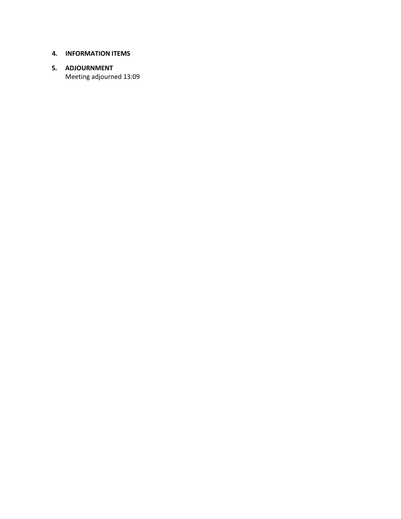### **4. INFORMATION ITEMS**

# **5. ADJOURNMENT**

Meeting adjourned 13:09